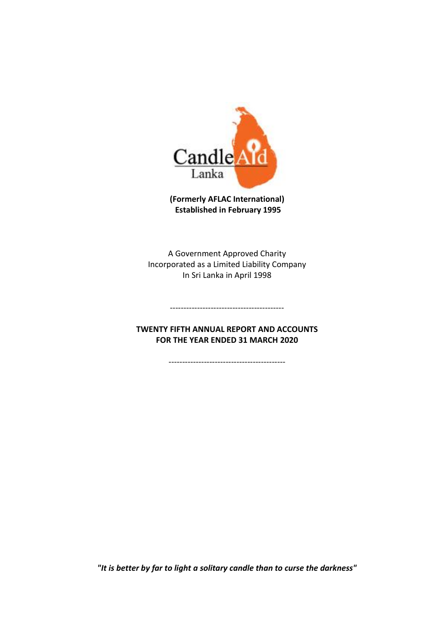

**(Formerly AFLAC International) Established in February 1995**

A Government Approved Charity Incorporated as a Limited Liability Company In Sri Lanka in April 1998

# **TWENTY FIFTH ANNUAL REPORT AND ACCOUNTS FOR THE YEAR ENDED 31 MARCH 2020**

------------------------------------------

-------------------------------------------

*"It is better by far to light a solitary candle than to curse the darkness"*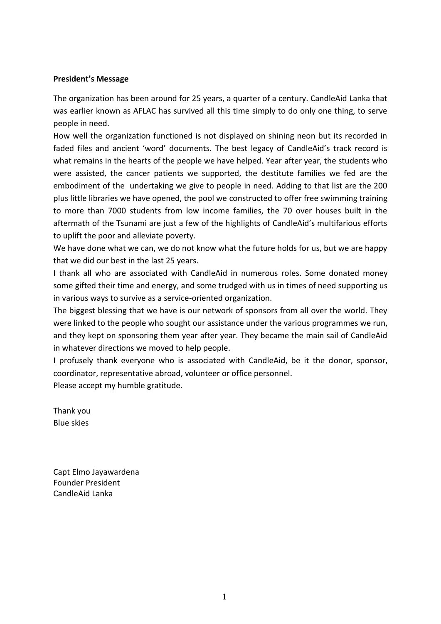#### **President's Message**

The organization has been around for 25 years, a quarter of a century. CandleAid Lanka that was earlier known as AFLAC has survived all this time simply to do only one thing, to serve people in need.

How well the organization functioned is not displayed on shining neon but its recorded in faded files and ancient 'word' documents. The best legacy of CandleAid's track record is what remains in the hearts of the people we have helped. Year after year, the students who were assisted, the cancer patients we supported, the destitute families we fed are the embodiment of the undertaking we give to people in need. Adding to that list are the 200 plus little libraries we have opened, the pool we constructed to offer free swimming training to more than 7000 students from low income families, the 70 over houses built in the aftermath of the Tsunami are just a few of the highlights of CandleAid's multifarious efforts to uplift the poor and alleviate poverty.

We have done what we can, we do not know what the future holds for us, but we are happy that we did our best in the last 25 years.

I thank all who are associated with CandleAid in numerous roles. Some donated money some gifted their time and energy, and some trudged with us in times of need supporting us in various ways to survive as a service-oriented organization.

The biggest blessing that we have is our network of sponsors from all over the world. They were linked to the people who sought our assistance under the various programmes we run, and they kept on sponsoring them year after year. They became the main sail of CandleAid in whatever directions we moved to help people.

I profusely thank everyone who is associated with CandleAid, be it the donor, sponsor, coordinator, representative abroad, volunteer or office personnel. Please accept my humble gratitude.

Thank you Blue skies

Capt Elmo Jayawardena Founder President CandleAid Lanka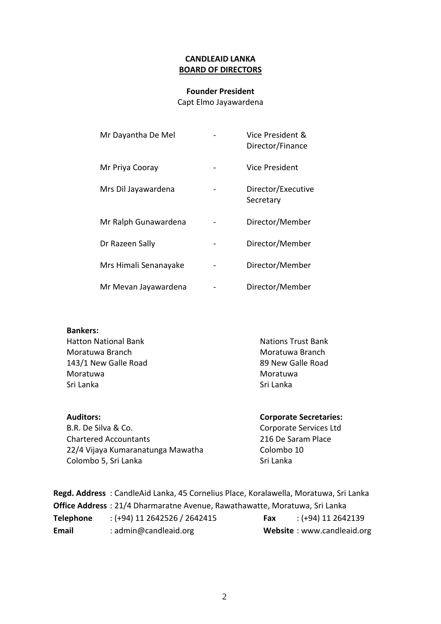#### **CANDLEAID LANKA BOARD OF DIRECTORS**

#### **Founder President**

Capt Elmo Jayawardena

| Mr Dayantha De Mel    | Vice President &<br>Director/Finance |
|-----------------------|--------------------------------------|
| Mr Priya Cooray       | Vice President                       |
| Mrs Dil Jayawardena   | Director/Executive<br>Secretary      |
| Mr Ralph Gunawardena  | Director/Member                      |
| Dr Razeen Sally       | Director/Member                      |
| Mrs Himali Senanayake | Director/Member                      |
| Mr Mevan Jayawardena  | Director/Member                      |

#### **Bankers:**

Hatton National Bank Nations Trust Bank Moratuwa Branch **Moratuwa Branch** Moratuwa Branch 143/1 New Galle Road 89 New Galle Road Moratuwa **Moratuwa** Moratuwa Sri Lanka Nashrida Sri Lanka Sri Lanka Sri Lanka Sri Lanka Sri Lanka Sri Lanka Sri Lanka Sri Lanka Sri Lanka S

B.R. De Silva & Co. Corporate Services Ltd Chartered Accountants 216 De Saram Place 22/4 Vijaya Kumaranatunga Mawatha Colombo 10 Colombo 5, Sri Lanka Sri Lanka Sri Lanka

# **Auditors: Corporate Secretaries:**

|                  | Regd. Address: CandleAid Lanka, 45 Cornelius Place, Koralawella, Moratuwa, Sri Lanka |     |                            |
|------------------|--------------------------------------------------------------------------------------|-----|----------------------------|
|                  | Office Address: 21/4 Dharmaratne Avenue, Rawathawatte, Moratuwa, Sri Lanka           |     |                            |
| <b>Telephone</b> | $:(+94)$ 11 2642526 / 2642415                                                        | Fax | $:(+94)$ 11 2642139        |
| Email            | : admin@candleaid.org                                                                |     | Website: www.candleaid.org |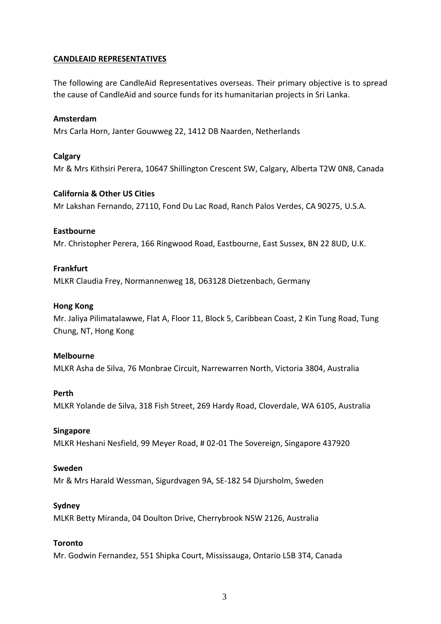## **CANDLEAID REPRESENTATIVES**

The following are CandleAid Representatives overseas. Their primary objective is to spread the cause of CandleAid and source funds for its humanitarian projects in Sri Lanka.

#### **Amsterdam**

Mrs Carla Horn, Janter Gouwweg 22, 1412 DB Naarden, Netherlands

#### **Calgary**

Mr & Mrs Kithsiri Perera, 10647 Shillington Crescent SW, Calgary, Alberta T2W 0N8, Canada

#### **California & Other US Cities**

Mr Lakshan Fernando, 27110, Fond Du Lac Road, Ranch Palos Verdes, CA 90275, U.S.A.

#### **Eastbourne**

Mr. Christopher Perera, 166 Ringwood Road, Eastbourne, East Sussex, BN 22 8UD, U.K.

#### **Frankfurt**

MLKR Claudia Frey, Normannenweg 18, D63128 Dietzenbach, Germany

#### **Hong Kong**

Mr. Jaliya Pilimatalawwe, Flat A, Floor 11, Block 5, Caribbean Coast, 2 Kin Tung Road, Tung Chung, NT, Hong Kong

#### **Melbourne**

MLKR Asha de Silva, 76 Monbrae Circuit, Narrewarren North, Victoria 3804, Australia

#### **Perth**

MLKR Yolande de Silva, 318 Fish Street, 269 Hardy Road, Cloverdale, WA 6105, Australia

#### **Singapore**

MLKR Heshani Nesfield, 99 Meyer Road, # 02-01 The Sovereign, Singapore 437920

#### **Sweden**

Mr & Mrs Harald Wessman, Sigurdvagen 9A, SE-182 54 Djursholm, Sweden

#### **Sydney**

MLKR Betty Miranda, 04 Doulton Drive, Cherrybrook NSW 2126, Australia

#### **Toronto**

Mr. Godwin Fernandez, 551 Shipka Court, Mississauga, Ontario L5B 3T4, Canada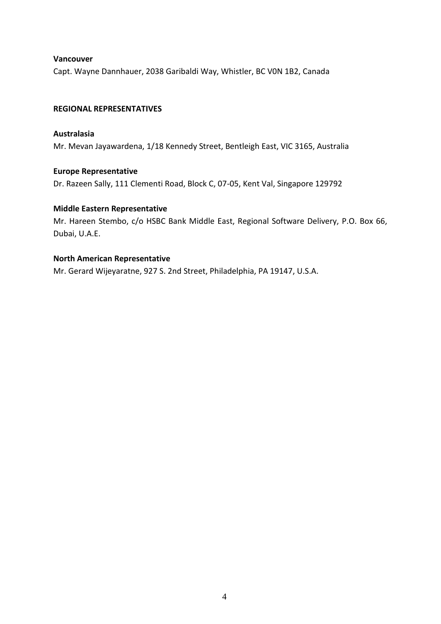#### **Vancouver**

Capt. Wayne Dannhauer, 2038 Garibaldi Way, Whistler, BC V0N 1B2, Canada

#### **REGIONAL REPRESENTATIVES**

#### **Australasia**

Mr. Mevan Jayawardena, 1/18 Kennedy Street, Bentleigh East, VIC 3165, Australia

### **Europe Representative**

Dr. Razeen Sally, 111 Clementi Road, Block C, 07-05, Kent Val, Singapore 129792

### **Middle Eastern Representative**

Mr. Hareen Stembo, c/o HSBC Bank Middle East, Regional Software Delivery, P.O. Box 66, Dubai, U.A.E.

### **North American Representative**

Mr. Gerard Wijeyaratne, 927 S. 2nd Street, Philadelphia, PA 19147, U.S.A.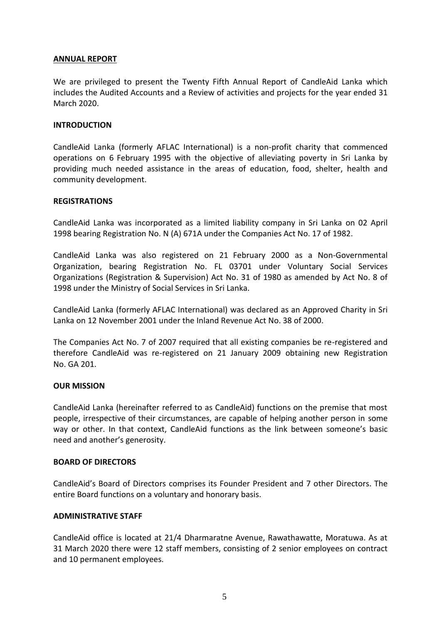#### **ANNUAL REPORT**

We are privileged to present the Twenty Fifth Annual Report of CandleAid Lanka which includes the Audited Accounts and a Review of activities and projects for the year ended 31 March 2020.

#### **INTRODUCTION**

CandleAid Lanka (formerly AFLAC International) is a non-profit charity that commenced operations on 6 February 1995 with the objective of alleviating poverty in Sri Lanka by providing much needed assistance in the areas of education, food, shelter, health and community development.

### **REGISTRATIONS**

CandleAid Lanka was incorporated as a limited liability company in Sri Lanka on 02 April 1998 bearing Registration No. N (A) 671A under the Companies Act No. 17 of 1982.

CandleAid Lanka was also registered on 21 February 2000 as a Non-Governmental Organization, bearing Registration No. FL 03701 under Voluntary Social Services Organizations (Registration & Supervision) Act No. 31 of 1980 as amended by Act No. 8 of 1998 under the Ministry of Social Services in Sri Lanka.

CandleAid Lanka (formerly AFLAC International) was declared as an Approved Charity in Sri Lanka on 12 November 2001 under the Inland Revenue Act No. 38 of 2000.

The Companies Act No. 7 of 2007 required that all existing companies be re-registered and therefore CandleAid was re-registered on 21 January 2009 obtaining new Registration No. GA 201.

#### **OUR MISSION**

CandleAid Lanka (hereinafter referred to as CandleAid) functions on the premise that most people, irrespective of their circumstances, are capable of helping another person in some way or other. In that context, CandleAid functions as the link between someone's basic need and another's generosity.

#### **BOARD OF DIRECTORS**

CandleAid's Board of Directors comprises its Founder President and 7 other Directors. The entire Board functions on a voluntary and honorary basis.

#### **ADMINISTRATIVE STAFF**

CandleAid office is located at 21/4 Dharmaratne Avenue, Rawathawatte, Moratuwa. As at 31 March 2020 there were 12 staff members, consisting of 2 senior employees on contract and 10 permanent employees.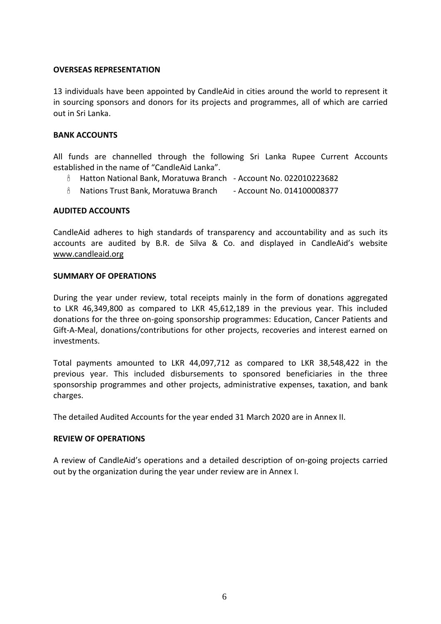#### **OVERSEAS REPRESENTATION**

13 individuals have been appointed by CandleAid in cities around the world to represent it in sourcing sponsors and donors for its projects and programmes, all of which are carried out in Sri Lanka.

#### **BANK ACCOUNTS**

All funds are channelled through the following Sri Lanka Rupee Current Accounts established in the name of "CandleAid Lanka".

- Hatton National Bank, Moratuwa Branch Account No. 022010223682
- $\delta$  Nations Trust Bank, Moratuwa Branch Account No. 014100008377

#### **AUDITED ACCOUNTS**

CandleAid adheres to high standards of transparency and accountability and as such its accounts are audited by B.R. de Silva & Co. and displayed in CandleAid's website [www.candleaid.org](http://www.candleaid.org/)

#### **SUMMARY OF OPERATIONS**

During the year under review, total receipts mainly in the form of donations aggregated to LKR 46,349,800 as compared to LKR 45,612,189 in the previous year. This included donations for the three on-going sponsorship programmes: Education, Cancer Patients and Gift-A-Meal, donations/contributions for other projects, recoveries and interest earned on investments.

Total payments amounted to LKR 44,097,712 as compared to LKR 38,548,422 in the previous year. This included disbursements to sponsored beneficiaries in the three sponsorship programmes and other projects, administrative expenses, taxation, and bank charges.

The detailed Audited Accounts for the year ended 31 March 2020 are in Annex II.

#### **REVIEW OF OPERATIONS**

A review of CandleAid's operations and a detailed description of on-going projects carried out by the organization during the year under review are in Annex I.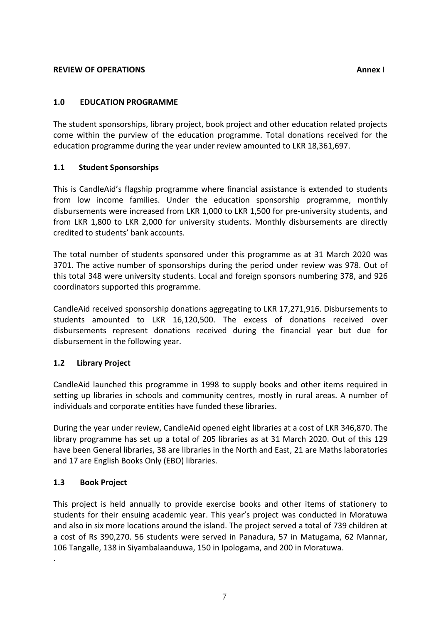### **REVIEW OF OPERATIONS Annex I**

# **1.0 EDUCATION PROGRAMME**

The student sponsorships, library project, book project and other education related projects come within the purview of the education programme. Total donations received for the education programme during the year under review amounted to LKR 18,361,697.

# **1.1 Student Sponsorships**

This is CandleAid's flagship programme where financial assistance is extended to students from low income families. Under the education sponsorship programme, monthly disbursements were increased from LKR 1,000 to LKR 1,500 for pre-university students, and from LKR 1,800 to LKR 2,000 for university students. Monthly disbursements are directly credited to students' bank accounts.

The total number of students sponsored under this programme as at 31 March 2020 was 3701. The active number of sponsorships during the period under review was 978. Out of this total 348 were university students. Local and foreign sponsors numbering 378, and 926 coordinators supported this programme.

CandleAid received sponsorship donations aggregating to LKR 17,271,916. Disbursements to students amounted to LKR 16,120,500. The excess of donations received over disbursements represent donations received during the financial year but due for disbursement in the following year.

# **1.2 Library Project**

CandleAid launched this programme in 1998 to supply books and other items required in setting up libraries in schools and community centres, mostly in rural areas. A number of individuals and corporate entities have funded these libraries.

During the year under review, CandleAid opened eight libraries at a cost of LKR 346,870. The library programme has set up a total of 205 libraries as at 31 March 2020. Out of this 129 have been General libraries, 38 are libraries in the North and East, 21 are Maths laboratories and 17 are English Books Only (EBO) libraries.

# **1.3 Book Project**

.

This project is held annually to provide exercise books and other items of stationery to students for their ensuing academic year. This year's project was conducted in Moratuwa and also in six more locations around the island. The project served a total of 739 children at a cost of Rs 390,270. 56 students were served in Panadura, 57 in Matugama, 62 Mannar, 106 Tangalle, 138 in Siyambalaanduwa, 150 in Ipologama, and 200 in Moratuwa.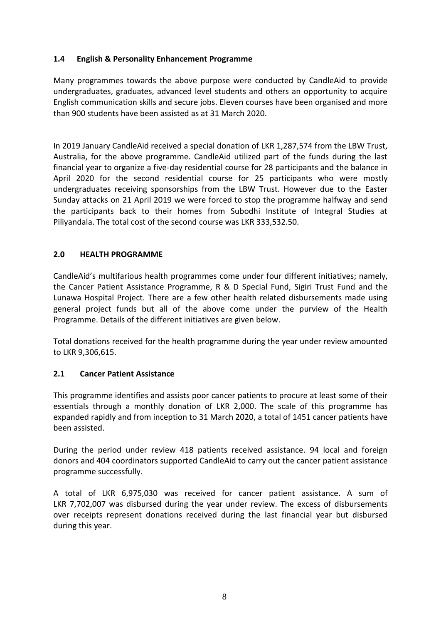# **1.4 English & Personality Enhancement Programme**

Many programmes towards the above purpose were conducted by CandleAid to provide undergraduates, graduates, advanced level students and others an opportunity to acquire English communication skills and secure jobs. Eleven courses have been organised and more than 900 students have been assisted as at 31 March 2020.

In 2019 January CandleAid received a special donation of LKR 1,287,574 from the LBW Trust, Australia, for the above programme. CandleAid utilized part of the funds during the last financial year to organize a five-day residential course for 28 participants and the balance in April 2020 for the second residential course for 25 participants who were mostly undergraduates receiving sponsorships from the LBW Trust. However due to the Easter Sunday attacks on 21 April 2019 we were forced to stop the programme halfway and send the participants back to their homes from Subodhi Institute of Integral Studies at Piliyandala. The total cost of the second course was LKR 333,532.50.

# **2.0 HEALTH PROGRAMME**

CandleAid's multifarious health programmes come under four different initiatives; namely, the Cancer Patient Assistance Programme, R & D Special Fund, Sigiri Trust Fund and the Lunawa Hospital Project. There are a few other health related disbursements made using general project funds but all of the above come under the purview of the Health Programme. Details of the different initiatives are given below.

Total donations received for the health programme during the year under review amounted to LKR 9,306,615.

# **2.1 Cancer Patient Assistance**

This programme identifies and assists poor cancer patients to procure at least some of their essentials through a monthly donation of LKR 2,000. The scale of this programme has expanded rapidly and from inception to 31 March 2020, a total of 1451 cancer patients have been assisted.

During the period under review 418 patients received assistance. 94 local and foreign donors and 404 coordinators supported CandleAid to carry out the cancer patient assistance programme successfully.

A total of LKR 6,975,030 was received for cancer patient assistance. A sum of LKR 7,702,007 was disbursed during the year under review. The excess of disbursements over receipts represent donations received during the last financial year but disbursed during this year.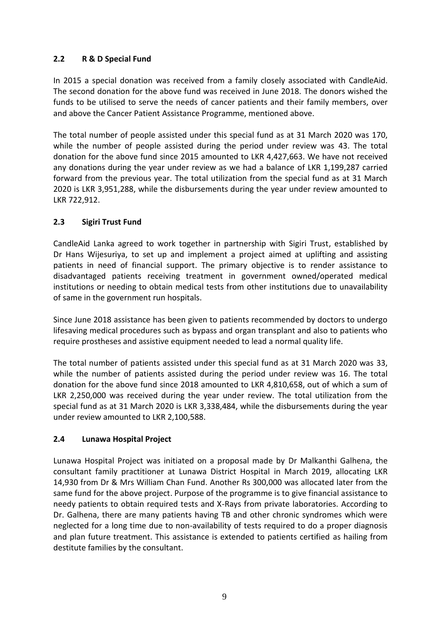# **2.2 R & D Special Fund**

In 2015 a special donation was received from a family closely associated with CandleAid. The second donation for the above fund was received in June 2018. The donors wished the funds to be utilised to serve the needs of cancer patients and their family members, over and above the Cancer Patient Assistance Programme, mentioned above.

The total number of people assisted under this special fund as at 31 March 2020 was 170, while the number of people assisted during the period under review was 43. The total donation for the above fund since 2015 amounted to LKR 4,427,663. We have not received any donations during the year under review as we had a balance of LKR 1,199,287 carried forward from the previous year. The total utilization from the special fund as at 31 March 2020 is LKR 3,951,288, while the disbursements during the year under review amounted to LKR 722,912.

# **2.3 Sigiri Trust Fund**

CandleAid Lanka agreed to work together in partnership with Sigiri Trust, established by Dr Hans Wijesuriya, to set up and implement a project aimed at uplifting and assisting patients in need of financial support. The primary objective is to render assistance to disadvantaged patients receiving treatment in government owned/operated medical institutions or needing to obtain medical tests from other institutions due to unavailability of same in the government run hospitals.

Since June 2018 assistance has been given to patients recommended by doctors to undergo lifesaving medical procedures such as bypass and organ transplant and also to patients who require prostheses and assistive equipment needed to lead a normal quality life.

The total number of patients assisted under this special fund as at 31 March 2020 was 33, while the number of patients assisted during the period under review was 16. The total donation for the above fund since 2018 amounted to LKR 4,810,658, out of which a sum of LKR 2,250,000 was received during the year under review. The total utilization from the special fund as at 31 March 2020 is LKR 3,338,484, while the disbursements during the year under review amounted to LKR 2,100,588.

# **2.4 Lunawa Hospital Project**

Lunawa Hospital Project was initiated on a proposal made by Dr Malkanthi Galhena, the consultant family practitioner at Lunawa District Hospital in March 2019, allocating LKR 14,930 from Dr & Mrs William Chan Fund. Another Rs 300,000 was allocated later from the same fund for the above project. Purpose of the programme is to give financial assistance to needy patients to obtain required tests and X-Rays from private laboratories. According to Dr. Galhena, there are many patients having TB and other chronic syndromes which were neglected for a long time due to non-availability of tests required to do a proper diagnosis and plan future treatment. This assistance is extended to patients certified as hailing from destitute families by the consultant.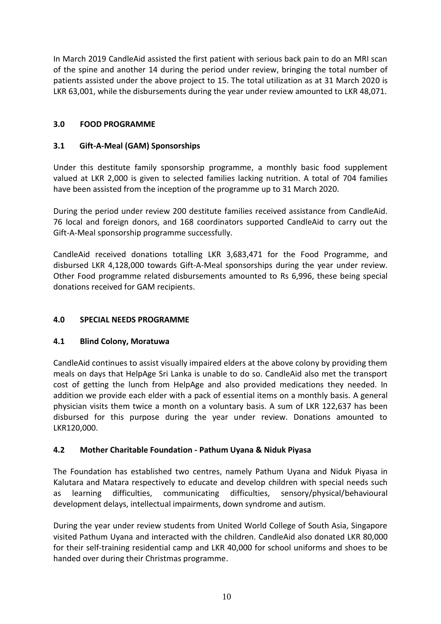In March 2019 CandleAid assisted the first patient with serious back pain to do an MRI scan of the spine and another 14 during the period under review, bringing the total number of patients assisted under the above project to 15. The total utilization as at 31 March 2020 is LKR 63,001, while the disbursements during the year under review amounted to LKR 48,071.

# **3.0 FOOD PROGRAMME**

# **3.1 Gift-A-Meal (GAM) Sponsorships**

Under this destitute family sponsorship programme, a monthly basic food supplement valued at LKR 2,000 is given to selected families lacking nutrition. A total of 704 families have been assisted from the inception of the programme up to 31 March 2020.

During the period under review 200 destitute families received assistance from CandleAid. 76 local and foreign donors, and 168 coordinators supported CandleAid to carry out the Gift-A-Meal sponsorship programme successfully.

CandleAid received donations totalling LKR 3,683,471 for the Food Programme, and disbursed LKR 4,128,000 towards Gift-A-Meal sponsorships during the year under review. Other Food programme related disbursements amounted to Rs 6,996, these being special donations received for GAM recipients.

# **4.0 SPECIAL NEEDS PROGRAMME**

# **4.1 Blind Colony, Moratuwa**

CandleAid continues to assist visually impaired elders at the above colony by providing them meals on days that HelpAge Sri Lanka is unable to do so. CandleAid also met the transport cost of getting the lunch from HelpAge and also provided medications they needed. In addition we provide each elder with a pack of essential items on a monthly basis. A general physician visits them twice a month on a voluntary basis. A sum of LKR 122,637 has been disbursed for this purpose during the year under review. Donations amounted to LKR120,000.

# **4.2 Mother Charitable Foundation - Pathum Uyana & Niduk Piyasa**

The Foundation has established two centres, namely Pathum Uyana and Niduk Piyasa in Kalutara and Matara respectively to educate and develop children with special needs such as learning difficulties, communicating difficulties, sensory/physical/behavioural development delays, intellectual impairments, down syndrome and autism.

During the year under review students from United World College of South Asia, Singapore visited Pathum Uyana and interacted with the children. CandleAid also donated LKR 80,000 for their self-training residential camp and LKR 40,000 for school uniforms and shoes to be handed over during their Christmas programme.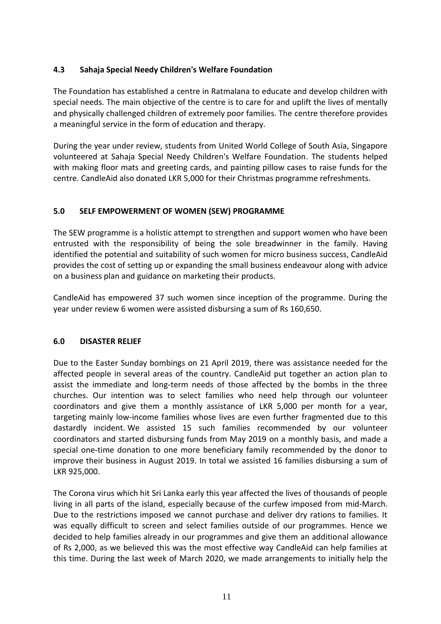# **4.3 Sahaja Special Needy Children's Welfare Foundation**

The Foundation has established a centre in Ratmalana to educate and develop children with special needs. The main objective of the centre is to care for and uplift the lives of mentally and physically challenged children of extremely poor families. The centre therefore provides a meaningful service in the form of education and therapy.

During the year under review, students from United World College of South Asia, Singapore volunteered at Sahaja Special Needy Children's Welfare Foundation. The students helped with making floor mats and greeting cards, and painting pillow cases to raise funds for the centre. CandleAid also donated LKR 5,000 for their Christmas programme refreshments.

# **5.0 SELF EMPOWERMENT OF WOMEN (SEW) PROGRAMME**

The SEW programme is a holistic attempt to strengthen and support women who have been entrusted with the responsibility of being the sole breadwinner in the family. Having identified the potential and suitability of such women for micro business success, CandleAid provides the cost of setting up or expanding the small business endeavour along with advice on a business plan and guidance on marketing their products.

CandleAid has empowered 37 such women since inception of the programme. During the year under review 6 women were assisted disbursing a sum of Rs 160,650.

# **6.0 DISASTER RELIEF**

Due to the Easter Sunday bombings on 21 April 2019, there was assistance needed for the affected people in several areas of the country. CandleAid put together an action plan to assist the immediate and long-term needs of those affected by the bombs in the three churches. Our intention was to select families who need help through our volunteer coordinators and give them a monthly assistance of LKR 5,000 per month for a year, targeting mainly low-income families whose lives are even further fragmented due to this dastardly incident. We assisted 15 such families recommended by our volunteer coordinators and started disbursing funds from May 2019 on a monthly basis, and made a special one-time donation to one more beneficiary family recommended by the donor to improve their business in August 2019. In total we assisted 16 families disbursing a sum of LKR 925,000.

The Corona virus which hit Sri Lanka early this year affected the lives of thousands of people living in all parts of the island, especially because of the curfew imposed from mid-March. Due to the restrictions imposed we cannot purchase and deliver dry rations to families. It was equally difficult to screen and select families outside of our programmes. Hence we decided to help families already in our programmes and give them an additional allowance of Rs 2,000, as we believed this was the most effective way CandleAid can help families at this time. During the last week of March 2020, we made arrangements to initially help the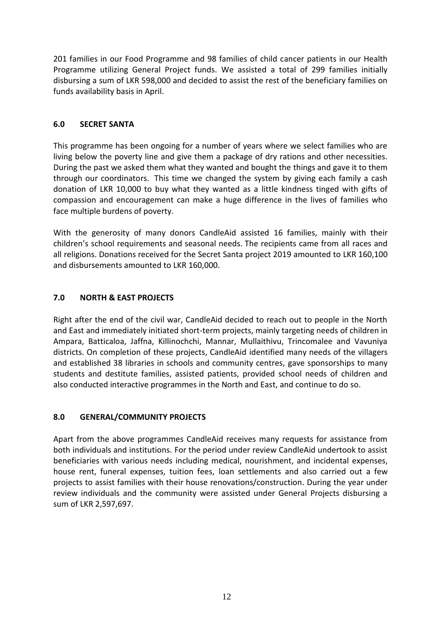201 families in our Food Programme and 98 families of child cancer patients in our Health Programme utilizing General Project funds. We assisted a total of 299 families initially disbursing a sum of LKR 598,000 and decided to assist the rest of the beneficiary families on funds availability basis in April.

# **6.0 SECRET SANTA**

This programme has been ongoing for a number of years where we select families who are living below the poverty line and give them a package of dry rations and other necessities. During the past we asked them what they wanted and bought the things and gave it to them through our coordinators. This time we changed the system by giving each family a cash donation of LKR 10,000 to buy what they wanted as a little kindness tinged with gifts of compassion and encouragement can make a huge difference in the lives of families who face multiple burdens of poverty.

With the generosity of many donors CandleAid assisted 16 families, mainly with their children's school requirements and seasonal needs. The recipients came from all races and all religions. Donations received for the Secret Santa project 2019 amounted to LKR 160,100 and disbursements amounted to LKR 160,000.

# **7.0 NORTH & EAST PROJECTS**

Right after the end of the civil war, CandleAid decided to reach out to people in the North and East and immediately initiated short-term projects, mainly targeting needs of children in Ampara, Batticaloa, Jaffna, Killinochchi, Mannar, Mullaithivu, Trincomalee and Vavuniya districts. On completion of these projects, CandleAid identified many needs of the villagers and established 38 libraries in schools and community centres, gave sponsorships to many students and destitute families, assisted patients, provided school needs of children and also conducted interactive programmes in the North and East, and continue to do so.

# **8.0 GENERAL/COMMUNITY PROJECTS**

Apart from the above programmes CandleAid receives many requests for assistance from both individuals and institutions. For the period under review CandleAid undertook to assist beneficiaries with various needs including medical, nourishment, and incidental expenses, house rent, funeral expenses, tuition fees, loan settlements and also carried out a few projects to assist families with their house renovations/construction. During the year under review individuals and the community were assisted under General Projects disbursing a sum of LKR 2,597,697.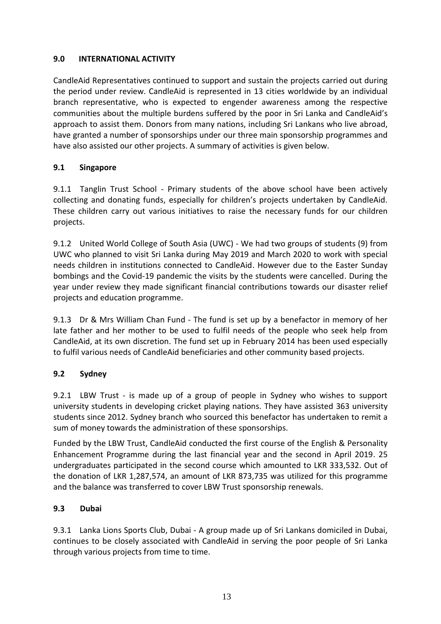# **9.0 INTERNATIONAL ACTIVITY**

CandleAid Representatives continued to support and sustain the projects carried out during the period under review. CandleAid is represented in 13 cities worldwide by an individual branch representative, who is expected to engender awareness among the respective communities about the multiple burdens suffered by the poor in Sri Lanka and CandleAid's approach to assist them. Donors from many nations, including Sri Lankans who live abroad, have granted a number of sponsorships under our three main sponsorship programmes and have also assisted our other projects. A summary of activities is given below.

# **9.1 Singapore**

9.1.1 Tanglin Trust School - Primary students of the above school have been actively collecting and donating funds, especially for children's projects undertaken by CandleAid. These children carry out various initiatives to raise the necessary funds for our children projects.

9.1.2 United World College of South Asia (UWC) - We had two groups of students (9) from UWC who planned to visit Sri Lanka during May 2019 and March 2020 to work with special needs children in institutions connected to CandleAid. However due to the Easter Sunday bombings and the Covid-19 pandemic the visits by the students were cancelled. During the year under review they made significant financial contributions towards our disaster relief projects and education programme.

9.1.3 Dr & Mrs William Chan Fund - The fund is set up by a benefactor in memory of her late father and her mother to be used to fulfil needs of the people who seek help from CandleAid, at its own discretion. The fund set up in February 2014 has been used especially to fulfil various needs of CandleAid beneficiaries and other community based projects.

# **9.2 Sydney**

9.2.1 LBW Trust - is made up of a group of people in Sydney who wishes to support university students in developing cricket playing nations. They have assisted 363 university students since 2012. Sydney branch who sourced this benefactor has undertaken to remit a sum of money towards the administration of these sponsorships.

Funded by the LBW Trust, CandleAid conducted the first course of the English & Personality Enhancement Programme during the last financial year and the second in April 2019. 25 undergraduates participated in the second course which amounted to LKR 333,532. Out of the donation of LKR 1,287,574, an amount of LKR 873,735 was utilized for this programme and the balance was transferred to cover LBW Trust sponsorship renewals.

# **9.3 Dubai**

9.3.1 Lanka Lions Sports Club, Dubai - A group made up of Sri Lankans domiciled in Dubai, continues to be closely associated with CandleAid in serving the poor people of Sri Lanka through various projects from time to time.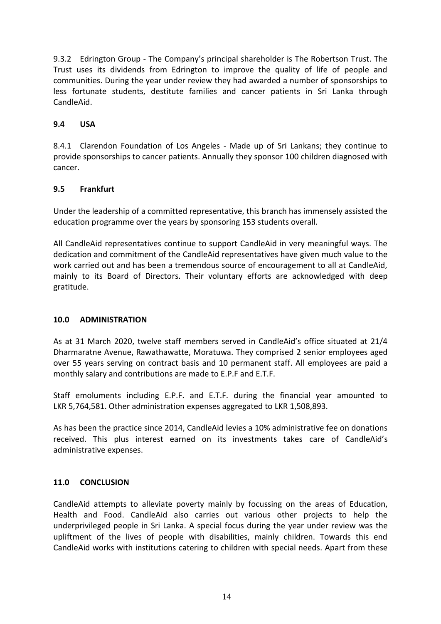9.3.2 Edrington Group - The Company's principal shareholder is The Robertson Trust. The Trust uses its dividends from Edrington to improve the quality of life of people and communities. During the year under review they had awarded a number of sponsorships to less fortunate students, destitute families and cancer patients in Sri Lanka through CandleAid.

# **9.4 USA**

8.4.1 Clarendon Foundation of Los Angeles - Made up of Sri Lankans; they continue to provide sponsorships to cancer patients. Annually they sponsor 100 children diagnosed with cancer.

# **9.5 Frankfurt**

Under the leadership of a committed representative, this branch has immensely assisted the education programme over the years by sponsoring 153 students overall.

All CandleAid representatives continue to support CandleAid in very meaningful ways. The dedication and commitment of the CandleAid representatives have given much value to the work carried out and has been a tremendous source of encouragement to all at CandleAid, mainly to its Board of Directors. Their voluntary efforts are acknowledged with deep gratitude.

# **10.0 ADMINISTRATION**

As at 31 March 2020, twelve staff members served in CandleAid's office situated at 21/4 Dharmaratne Avenue, Rawathawatte, Moratuwa. They comprised 2 senior employees aged over 55 years serving on contract basis and 10 permanent staff. All employees are paid a monthly salary and contributions are made to E.P.F and E.T.F.

Staff emoluments including E.P.F. and E.T.F. during the financial year amounted to LKR 5,764,581. Other administration expenses aggregated to LKR 1,508,893.

As has been the practice since 2014, CandleAid levies a 10% administrative fee on donations received. This plus interest earned on its investments takes care of CandleAid's administrative expenses.

# **11.0 CONCLUSION**

CandleAid attempts to alleviate poverty mainly by focussing on the areas of Education, Health and Food. CandleAid also carries out various other projects to help the underprivileged people in Sri Lanka. A special focus during the year under review was the upliftment of the lives of people with disabilities, mainly children. Towards this end CandleAid works with institutions catering to children with special needs. Apart from these